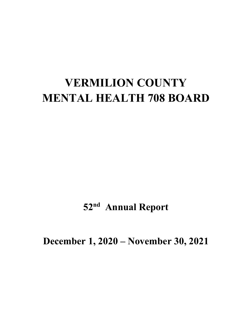# **VERMILION COUNTY MENTAL HEALTH 708 BOARD**

**52nd Annual Report** 

**December 1, 2020 – November 30, 2021**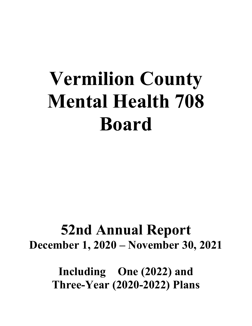# **Vermilion County Mental Health 708 Board**

# **52nd Annual Report December 1, 2020 – November 30, 2021**

**Including One (2022) and Three-Year (2020-2022) Plans**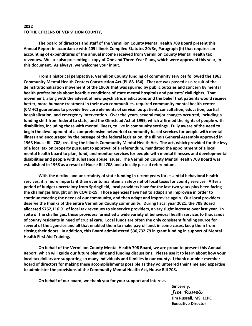#### **2022 TO THE CITIZENS OF VERMILION COUNTY,**

**The board of directors and staff of the Vermilion County Mental Health 708 Board present this Annual Report in accordance with 405 Illinois Compiled Statutes 20/3e, Paragraph (h) that requires an accounting of expenditures of the annual income received from Vermilion County Mental Health tax revenues. We are also presenting a copy of One and Three‐Year Plans, which were approved this year, in this document. As always, we welcome your input.** 

**From a historical perspective, Vermilion County funding of community services followed the 1963 Community Mental Health Centers Construction Act (PL 88‐164). That act was passed as a result of the deinstitutionalization movement of the 1960s that was spurred by public outcries and concern by mental health professionals about horrible conditions of state mental hospitals and patients' civil rights. That movement, along with the advent of new psychiatric medications and the belief that patients would receive better, more humane treatment in their own communities, required community mental health center (CMHC) guarantees to provide five core elements of service: outpatient, consultation, education, partial hospitalization, and emergency intervention. Over the years, several major changes occurred, including a funding shift from federal to state, and the Olmstead Act of 1999, which affirmed the rights of people with disabilities, including those with mental illness, to live in community settings. Fully aware of the need to begin the development of a comprehensive network of community‐based services for people with mental illness and encouraged by the passage of the federal legislation, the Illinois General Assembly approved in 1963 House Bill 708, creating the Illinois Community Mental Health Act. The act, which provided for the levy of a local tax on property pursuant to approval of a referendum, mandated the appointment of a local mental health board to plan, fund, and monitor services for people with mental illnesses and developmental disabilities and people with substance abuse issues. The Vermilion County Mental Health 708 Board was established in 1968 as a result of House Bill 708 and a locally passed referendum.** 

**With the decline and uncertainty of state funding in recent years for essential behavioral health services, it is more important than ever to maintain a safety net of local taxes for county services. After a period of budget uncertainty from Springfield, local providers have for the last two years plus been facing the challenges brought on by COVID‐19. Those agencies have had to adapt and improvise in order to continue meeting the needs of our community, and then adapt and improvise again. Our local providers deserve the thanks of the entire Vermilion County community. During fiscal year 2021, the 708 Board allocated \$752,116.91 of local tax revenues to six service providers, a very slight increase over last year. In spite of the challenges, these providers furnished a wide variety of behavioral health services to thousands of county residents in need of crucial care. Local funds are often the only consistent funding source for several of the agencies and all that enabled them to make payroll and, in some cases, keep them from closing their doors. In addition, this Board administered \$36,732.79 in grant funding in support of Mental Health First Aid Training.** 

**On behalf of the Vermilion County Mental Health 708 Board, we are proud to present this Annual Report, which will guide our future planning and funding discussions. Please use it to learn about how your local tax dollars are supporting so many individuals and families in our county. I thank our nine‐member board of directors for making these accomplishments possible as they volunteered their time and expertise to administer the provisions of the Community Mental Health Act, House Bill 708.** 

**On behalf of our board, we thank you for your support and interest.** 

**Sincerely,**  *Jim Russell*  **Jim Russell, MS, LCPC Executive Director**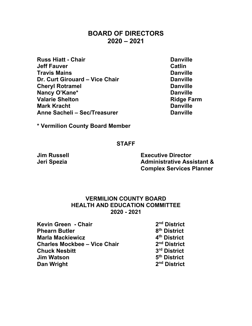### **BOARD OF DIRECTORS 2020 – 2021**

- **Russ Hiatt Chair Chair Chair Danville Jeff Fauver Catlin Travis Mains Danville Dr. Curt Girouard – Vice Chair Chair Chair Chanville Cheryl Rotramel Danville Nancy O'Kane\*** Danville **Valarie Shelton Community Community Ridge Farm Mark Kracht** Danville Anne Sacheli – Sec/Treasurer **Danville**
- 

**\* Vermilion County Board Member** 

#### **STAFF**

**Jim Russell Executive Director Jeri Spezia Administrative Assistant & Complex Services Planner** 

### **VERMILION COUNTY BOARD HEALTH AND EDUCATION COMMITTEE 2020 - 2021**

- **Kevin Green Chair**  2<sup>nd</sup> District **Phearn Butler 6th District 10 AM** 8th District **Marla Mackiewicz At the Marla Mackiewicz 4th District Charles Mockbee – Vice Chair 2nd District Chuck Nesbitt 3rd District Jim Watson 5th District Dan Wright 2nd District 2nd District** 
	-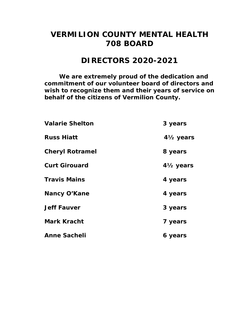# **VERMILION COUNTY MENTAL HEALTH 708 BOARD**

# **DIRECTORS 2020-2021**

*We are extremely proud of the dedication and commitment of our volunteer board of directors and wish to recognize them and their years of service on behalf of the citizens of Vermilion County.* 

| <b>Valarie Shelton</b> | 3 years                             |
|------------------------|-------------------------------------|
| <b>Russ Hiatt</b>      | 4 <sup>1</sup> / <sub>2</sub> years |
| <b>Cheryl Rotramel</b> | 8 years                             |
| <b>Curt Girouard</b>   | $4\frac{1}{2}$ years                |
| <b>Travis Mains</b>    | 4 years                             |
| <b>Nancy O'Kane</b>    | 4 years                             |
| <b>Jeff Fauver</b>     | 3 years                             |
| <b>Mark Kracht</b>     | 7 years                             |
| <b>Anne Sacheli</b>    | 6 years                             |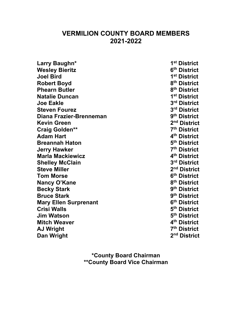## **VERMILION COUNTY BOARD MEMBERS 2021-2022**

| Larry Baughn*                |
|------------------------------|
| <b>Wesley Bieritz</b>        |
| <b>Joel Bird</b>             |
| <b>Robert Boyd</b>           |
| <b>Phearn Butler</b>         |
| <b>Natalie Duncan</b>        |
| <b>Joe Eakle</b>             |
| <b>Steven Fourez</b>         |
| Diana Frazier-Brenneman      |
| <b>Kevin Green</b>           |
| <b>Craig Golden**</b>        |
| <b>Adam Hart</b>             |
| <b>Breannah Haton</b>        |
| <b>Jerry Hawker</b>          |
| <b>Marla Mackiewicz</b>      |
| <b>Shelley McClain</b>       |
| <b>Steve Miller</b>          |
| <b>Tom Morse</b>             |
| Nancy O'Kane                 |
| <b>Becky Stark</b>           |
| <b>Bruce Stark</b>           |
| <b>Mary Ellen Surprenant</b> |
| <b>Crisi Walls</b>           |
| <b>Jim Watson</b>            |
| <b>Mitch Weaver</b>          |
| <b>AJ Wright</b>             |
| Dan Wright                   |

1st District **6th District 1st District 8th District 8th District 1st District**  $3<sup>rd</sup>$  District **3rd District 9<sup>th</sup> District** 2<sup>nd</sup> District **Z<sup>th</sup> District 4<sup>th</sup> District 5<sup>th</sup> District 7th District 4<sup>th</sup> District** 3rd District 2<sup>nd</sup> District  $6<sup>th</sup>$  District **8<sup>th</sup> District 9<sup>th</sup> District 9th District** *G***<sup>th</sup> District 5<sup>th</sup> District 5<sup>th</sup> District 4<sup>th</sup> District Z<sup>th</sup> District** 2<sup>nd</sup> District

**\*County Board Chairman \*\*County Board Vice Chairman**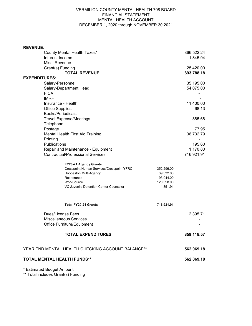#### VERMILION COUNTY MENTAL HEALTH 708 BOARD FINANCIAL STATEMENT MENTAL HEALTH ACCOUNT DECEMBER 1, 2020 through NOVEMBER 30,2021

| <b>REVENUE:</b>                                   |            |            |
|---------------------------------------------------|------------|------------|
| County Mental Health Taxes*                       |            | 866,522.24 |
| Interest Income                                   |            | 1,845.94   |
| Misc. Revenue                                     |            |            |
| Grant(s) Funding                                  |            | 25,420.00  |
| <b>TOTAL REVENUE</b>                              |            | 893,788.18 |
| <b>EXPENDITURES:</b>                              |            |            |
| Salary-Personnel                                  |            | 35,195.00  |
| Salary-Department Head                            |            | 54,075.00  |
| <b>FICA</b>                                       |            |            |
| <b>IMRF</b>                                       |            |            |
| Insurance - Health                                |            | 11,400.00  |
| <b>Office Supplies</b>                            |            | 68.13      |
| <b>Books/Periodicals</b>                          |            |            |
| <b>Travel Expense/Meetings</b>                    |            | 885.68     |
| Telephone                                         |            |            |
| Postage                                           |            | 77.95      |
| Mental Health First Aid Training                  |            | 36,732.79  |
| Printing                                          |            |            |
| Publications                                      |            | 195.60     |
| Repair and Maintenance - Equipment                |            | 1,170.80   |
| <b>Contractual/Professional Services</b>          |            | 716,921.91 |
|                                                   |            |            |
| FY20-21 Agency Grants                             |            |            |
| Crosspoint Human Services/Crosspoint YFRC         | 352,296.00 |            |
| Hoopeston Multi-Agency                            | 39,332.00  |            |
| Rosecrance                                        | 193,044.00 |            |
| WorkSource                                        | 120,398.00 |            |
| VC Juvenile Detention Center Counselor            | 11,851.91  |            |
|                                                   |            |            |
| <b>Total FY20-21 Grants</b>                       | 716,921.91 |            |
|                                                   |            |            |
| Dues/License Fees                                 |            | 2,395.71   |
| <b>Miscellaneous Services</b>                     |            |            |
| Office Furniture/Equipment                        |            |            |
| <b>TOTAL EXPENDITURES</b>                         |            | 859,118.57 |
| YEAR END MENTAL HEALTH CHECKING ACCOUNT BALANCE** |            | 562,069.18 |
|                                                   |            |            |
| <b>TOTAL MENTAL HEALTH FUNDS**</b>                |            | 562,069.18 |
|                                                   |            |            |

\* Estimated Budget Amount

\*\* Total includes Grant(s) Funding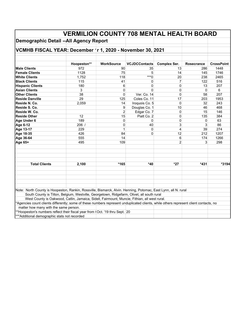| <b>VERMILION COUNTY 708 MENTAL HEALTH BOARD</b>                                                                                       |             |                   |                      |                     |              |                   |  |
|---------------------------------------------------------------------------------------------------------------------------------------|-------------|-------------------|----------------------|---------------------|--------------|-------------------|--|
| <b>Demographic Detail --All Agency Report</b>                                                                                         |             |                   |                      |                     |              |                   |  |
| VCMHB FISCAL YEAR: December   r 1, 2020 - November 30, 2021                                                                           |             |                   |                      |                     |              |                   |  |
|                                                                                                                                       |             |                   |                      |                     |              |                   |  |
|                                                                                                                                       | Hoopeston** | <b>WorkSource</b> | <b>VCJDCContacts</b> | <b>Complex Ser.</b> | Rosecrance   | <b>CrossPoint</b> |  |
| <b>Male Clients</b>                                                                                                                   | 972         | 90                | 35                   | 13                  | 286          | 1448              |  |
| <b>Female Clients</b>                                                                                                                 | 1128        | 75                | 5                    | 14                  | 145          | 1746              |  |
| <b>White Clients</b>                                                                                                                  | 1,752       | 118               | $*^{**}0$            | 20                  | 238          | 2465              |  |
| <b>Black Clients</b>                                                                                                                  | 115         | 41                | 0                    | 7                   | 122          | 516               |  |
| <b>Hispanic Clients</b>                                                                                                               | 180         | 6                 | $\Omega$             | $\Omega$            | 13           | 207               |  |
| <b>Asian Clients</b>                                                                                                                  | 3           | $\Omega$          | $\Omega$             | 0                   | $\Omega$     | 6                 |  |
| <b>Other Clients</b>                                                                                                                  | 38          | $\Omega$          | Ver. Co. 14          | $\Omega$            | 58           | 207               |  |
| <b>Reside Danville</b>                                                                                                                | 29          | 125               | Coles Co. 11         | 17                  | 203          | 1953              |  |
| Reside N. Co.                                                                                                                         | 2,059       | 14                | Iroquois Co. 5       | $\Omega$            | 32           | 243               |  |
| Reside S. Co.                                                                                                                         |             | 9                 | Douglas Co. 1        | 10                  | 46           | 468               |  |
| Reside W. Co.                                                                                                                         |             | $\overline{2}$    | Edgar Co. 7          | $\Omega$            | 15           | 146               |  |
| <b>Reside Other</b>                                                                                                                   | 12          | 15                | Piatt Co. 2          | $\Omega$            | 135          | 384               |  |
| Age Under 6                                                                                                                           | 189         | 0                 | 0                    | 0                   | 0            | 63                |  |
| Age 6-12                                                                                                                              | 206/        | $\Omega$          | 40                   | 3                   | 3            | 86                |  |
| Age 13-17                                                                                                                             | 229         | $\mathbf{1}$      | $\Omega$             | 4                   | 39           | 274               |  |
| Age 18-35                                                                                                                             | 426         | 84                | $\Omega$             | 12                  | 212          | 1207              |  |
| Age 36-64                                                                                                                             | 555         | 14                |                      | 6                   | 174          | 1266              |  |
| Age 65+                                                                                                                               | 495         | 109               |                      | $\mathfrak{p}$      | $\mathbf{3}$ | 298               |  |
|                                                                                                                                       |             |                   |                      |                     |              |                   |  |
| <b>Total Clients</b>                                                                                                                  | 2,100       | $*165$            | $*40$                | $*27$               | $*431$       | *3194             |  |
|                                                                                                                                       |             |                   |                      |                     |              |                   |  |
| Note: North County is Hoopeston, Rankin, Rossville, Bismarck, Alvin. Henning, Potomac, East Lynn, all N. rural                        |             |                   |                      |                     |              |                   |  |
| South County is Tilton, Belgium, Westville, Georgetown, Ridgefarm, Olivet, all south rural                                            |             |                   |                      |                     |              |                   |  |
| West County is Oakwood, Catlin, Jamaica, Sidell, Fairmount, Muncie, Fithian, all west rural.                                          |             |                   |                      |                     |              |                   |  |
| *Agencies count clients differently; some of these numbers represent unduplicated clients, while others represent client contacts, no |             |                   |                      |                     |              |                   |  |
| matter how many with the same person.                                                                                                 |             |                   |                      |                     |              |                   |  |
| **Hoopeston's numbers reflect their fiscal year from (Oct. '19 thru Sept. 20                                                          |             |                   |                      |                     |              |                   |  |
| *** Additional demographic stats not recorded                                                                                         |             |                   |                      |                     |              |                   |  |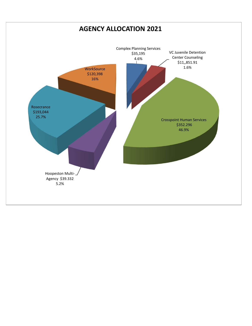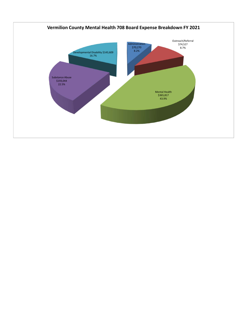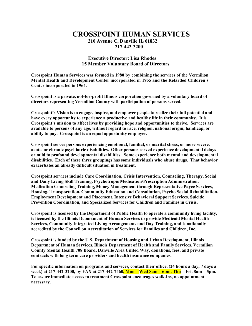### **CROSSPOINT HUMAN SERVICES 210 Avenue C, Danville IL 61832 217-442-3200**

#### **Executive Director: Lisa Rhodes 15 Member Voluntary Board of Directors**

**Crosspoint Human Services was formed in 1980 by combining the services of the Vermilion Mental Health and Development Center incorporated in 1955 and the Retarded Children's Center incorporated in 1964.**

**Crosspoint is a private, not-for-profit Illinois corporation governed by a voluntary board of directors representing Vermilion County with participation of persons served.**

**Crosspoint's Vision is to engage, inspire, and empower people to realize their full potential and have every opportunity to experience a productive and healthy life in their community. It is Crosspoint's mission to affect lives by providing hope and opportunities to thrive. Services are available to persons of any age, without regard to race, religion, national origin, handicap, or ability to pay. Crosspoint is an equal opportunity employer.**

**Crosspoint serves persons experiencing emotional, familial, or marital stress, or more severe, acute, or chronic psychiatric disabilities. Other persons served experience developmental delays or mild to profound developmental disabilities. Some experience both mental and developmental disabilities. Each of these three groupings has some individuals who abuse drugs. That behavior exacerbates an already difficult situation in treatment.**

**Crosspoint services include Care Coordination, Crisis Intervention, Counseling, Therapy, Social and Daily Living Skill Training, Psychotropic Medication/Prescription Administration, Medication Counseling Training, Money Management through Representative Payee Services, Housing, Transportation, Community Education and Consultation, Psycho Social Rehabilitation, Employment Development and Placement, Intensive Behavioral Support Services, Suicide Prevention Coordination, and Specialized Services for Children and Families in Crisis.**

**Crosspoint is licensed by the Department of Public Health to operate a community living facility, is licensed by the Illinois Department of Human Services to provide Medicaid Mental Health Services, Community Integrated Living Arrangements and Day Training, and is nationally accredited by the Council on Accreditation of Services for Families and Children, Inc.**

**Crosspoint is funded by the U.S. Department of Housing and Urban Development, Illinois Department of Human Services, Illinois Department of Health and Family Services, Vermilion County Mental Health 708 Board, Danville Area United Way, donations, fees, and private contracts with long term care providers and health insurance companies.**

**For specific information on programs and services, contact their office, (24 hours a day, 7 days a week) at 217-442-3200, by FAX at 217-442-7460, Mon – Wed 8am – 6pm, Thu – Fri, 8am – 5pm. To assure immediate access to treatment Crosspoint encourages walk-ins, no appointment necessary.**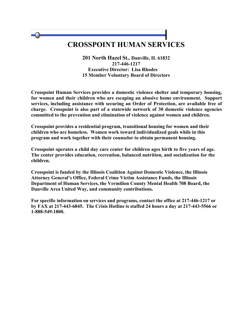# **CROSSPOINT HUMAN SERVICES**

**201 North Hazel St., Danville, IL 61832 217-446-1217 Executive Director: Lisa Rhodes 15 Member Voluntary Board of Directors**

**Crosspoint Human Services provides a domestic violence shelter and temporary housing, for women and their children who are escaping an abusive home environment. Support services, including assistance with securing an Order of Protection, are available free of charge. Crosspoint is also part of a statewide network of 30 domestic violence agencies committed to the prevention and elimination of violence against women and children.**

**Crosspoint provides a residential program, transitional housing for women and their children who are homeless. Women work toward individualized goals while in this program and work together with their counselor to obtain permanent housing.**

**Crosspoint operates a child day care center for children ages birth to five years of age. The center provides education, recreation, balanced nutrition, and socialization for the children.**

**Crosspoint is funded by the Illinois Coalition Against Domestic Violence, the Illinois Attorney General's Office, Federal Crime Victim Assistance Funds, the Illinois Department of Human Services, the Vermilion County Mental Health 708 Board, the Danville Area United Way, and community contributions.**

**For specific information on services and programs, contact the office at 217-446-1217 or by FAX at 217-443-6845. The Crisis Hotline is staffed 24 hours a day at 217-443-5566 or 1-888-549-1800.**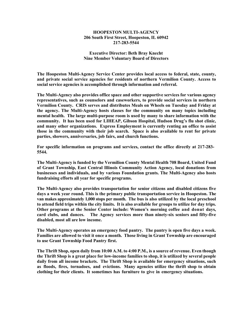#### **HOOPESTON MULTI-AGENCY 206 South First Street, Hoopeston, IL 60942 217-283-5544**

#### **Executive Director: Beth Bray Knecht Nine Member Voluntary Board of Directors**

**The Hoopeston Multi-Agency Service Center provides local access to federal, state, county, and private social service agencies for residents of northern Vermilion County. Access to social service agencies is accomplished through information and referral.**

**The Multi-Agency also provides office space and other supportive services for various agency representatives, such as counselors and caseworkers, to provide social services in northern Vermilion County. CRIS serves and distributes Meals on Wheels on Tuesday and Friday at the agency. The Multi-Agency hosts classes for the community on many topics including mental health. The large multi-purpose room is used by many to share information with the community. It has been used for LIHEAP, Gibson Hospital, Hudson Drug's flu shot clinic, and many other organizations. Express Employment is currently renting an office to assist those in the community with their job search. Space is also available to rent for private parties, showers, anniversaries, job fairs, and church functions.**

**For specific information on programs and services, contact the office directly at 217-283- 5544.**

**The Multi-Agency is funded by the Vermilion County Mental Health 708 Board, United Fund of Grant Township, East Central Illinois Community Action Agency, local donations from businesses and individuals, and by various Foundation grants. The Multi-Agency also hosts fundraising efforts all year for specific programs.**

**The Multi-Agency also provides transportation for senior citizens and disabled citizens five days a week year round. This is the primary public transportation service in Hoopeston. The van makes approximately 1,000 stops per month. The bus is also utilized by the local preschool to attend field trips within the city limits. It is also available for groups to utilize for day trips. Other programs at the Senior Center include: Women's morning coffee and donut days, card clubs, and dances. The Agency services more than ninety-six seniors and fifty-five disabled, most all are low income.**

**The Multi-Agency operates an emergency food pantry. The pantry is open five days a week. Families are allowed to visit it once a month. Those living in Grant Township are encouraged to use Grant Township Food Pantry first.**

**The Thrift Shop, open daily from 10:00 A.M. to 4:00 P.M., is a source of revenue. Even though the Thrift Shop is a great place for low-income families to shop, it is utilized by several people daily from all income brackets. The Thrift Shop is available for emergency situations, such as floods, fires, tornadoes, and evictions. Many agencies utilize the thrift shop to obtain clothing for their clients. It sometimes has furniture to give in emergency situations.**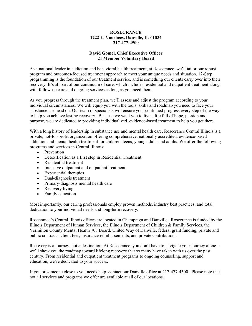#### **ROSECRANCE 1222 E. Voorhees, Danville, IL 61834 217-477-4500**

#### **David Gomel, Chief Executive Officer 21 Member Voluntary Board**

As a national leader in addiction and behavioral health treatment, at Rosecrance, we'll tailor our robust program and outcomes-focused treatment approach to meet your unique needs and situation. 12-Step programming is the foundation of our treatment service, and is something our clients carry over into their recovery. It's all part of our continuum of care, which includes residential and outpatient treatment along with follow-up care and ongoing services as long as you need them.

As you progress through the treatment plan, we'll assess and adjust the program according to your individual circumstances. We will equip you with the tools, skills and roadmap you need to face your substance use head on. Our team of specialists will ensure your continued progress every step of the way to help you achieve lasting recovery. Because we want you to live a life full of hope, passion and purpose, we are dedicated to providing individualized, evidence-based treatment to help you get there.

With a long history of leadership in substance use and mental health care, Rosecrance Central Illinois is a private, not-for-profit organization offering comprehensive, nationally accredited, evidence-based addiction and mental health treatment for children, teens, young adults and adults. We offer the following programs and services in Central Illinois:

- Prevention
- Detoxification as a first step in Residential Treatment
- Residential treatment
- Intensive outpatient and outpatient treatment
- Experiential therapies
- Dual-diagnosis treatment
- Primary-diagnosis mental health care
- Recovery living
- Family education

Most importantly, our caring professionals employ proven methods, industry best practices, and total dedication to your individual needs and long-term recovery.

Rosecrance's Central Illinois offices are located in Champaign and Danville. Rosecrance is funded by the Illinois Department of Human Services, the Illinois Department of Children & Family Services, the Vermilion County Mental Health 708 Board, United Way of Danville, federal grant funding, private and public contracts, client fees, insurance reimbursements, and private contributions.

Recovery is a journey, not a destination. At Rosecrance, you don't have to navigate your journey alone – we'll show you the roadmap toward lifelong recovery that so many have taken with us over the past century. From residential and outpatient treatment programs to ongoing counseling, support and education, we're dedicated to your success.

If you or someone close to you needs help, contact our Danville office at 217-477-4500. Please note that not all services and programs we offer are available at all of our locations.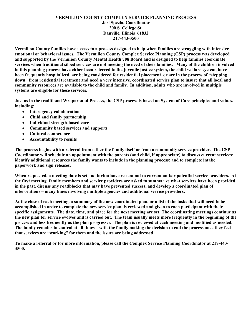#### **VERMILION COUNTY COMPLEX SERVICE PLANNING PROCESS Jeri Spezia, Coordinator 200 S. College St. Danville, Illinois 61832 217-443-3500**

**Vermilion County families have access to a process designed to help when families are struggling with intensive emotional or behavioral issues. The Vermilion County Complex Service Planning (CSP) process was developed and supported by the Vermilion County Mental Health 708 Board and is designed to help families coordinate services when traditional siloed services are not meeting the need of their families. Many of the children involved in this planning process have either been referred to the juvenile justice system, the child welfare system, have been frequently hospitalized, are being considered for residential placement, or are in the process of "stepping down" from residential treatment and need a very intensive, coordinated service plan to insure that all local and community resources are available to the child and family. In addition, adults who are involved in multiple systems are eligible for these services.** 

**Just as in the traditional Wraparound Process, the CSP process is based on System of Care principles and values, including:** 

- **Interagency collaboration**
- **Child and family partnership**
- **Individual strength-based care**
- **Community based services and supports**
- **Cultural competence**
- **Accountability to results**

**The process begins with a referral from either the family itself or from a community service provider. The CSP Coordinator will schedule an appointment with the parents (and child, if appropriate) to discuss current services; identify additional resources the family wants to include in the planning process; and to complete intake paperwork and sign releases.** 

**When requested, a meeting date is set and invitations are sent out to current and/or potential service providers. At the first meeting, family members and service providers are asked to summarize what services have been provided in the past, discuss any roadblocks that may have prevented success, and develop a coordinated plan of interventions – many times involving multiple agencies and additional service providers.** 

**At the close of each meeting, a summary of the new coordinated plan, or a list of the tasks that will need to be accomplished in order to complete the new service plan, is reviewed and given to each participant with their specific assignments. The date, time, and place for the next meeting are set. The coordinating meetings continue as the new plan for service evolves and is carried out. The team usually meets more frequently in the beginning of the process and less frequently as the plan progresses. The plan is reviewed at each meeting and modified as needed. The family remains in control at all times – with the family making the decision to end the process once they feel that services are "working" for them and the issues are being addressed.** 

**To make a referral or for more information, please call the Complex Service Planning Coordinator at 217-443- 3500.**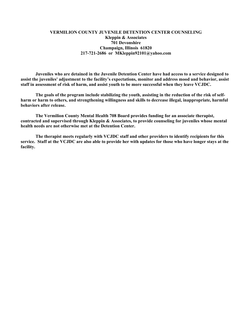#### **VERMILION COUNTY JUVENILE DETENTION CENTER COUNSELING Kleppin & Associates 701 Devonshire Champaign, Illinois 61820 217-721-2686 or MKleppin92101@yahoo.com**

**Juveniles who are detained in the Juvenile Detention Center have had access to a service designed to assist the juveniles' adjustment to the facility's expectations, monitor and address mood and behavior, assist staff in assessment of risk of harm, and assist youth to be more successful when they leave VCJDC.** 

**The goals of the program include stabilizing the youth, assisting in the reduction of the risk of selfharm or harm to others, and strengthening willingness and skills to decrease illegal, inappropriate, harmful behaviors after release.** 

**The Vermilion County Mental Health 708 Board provides funding for an associate therapist, contracted and supervised through Kleppin & Associates, to provide counseling for juveniles whose mental health needs are not otherwise met at the Detention Center.** 

**The therapist meets regularly with VCJDC staff and other providers to identify recipients for this service. Staff at the VCJDC are also able to provide her with updates for those who have longer stays at the facility.**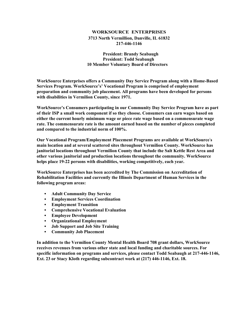#### **WORKSOURCE ENTERPRISES 3713 North Vermillion, Danville, IL 61832 217-446-1146**

 **President: Brandy Seabaugh President: Todd Seabaugh 10 Member Voluntary Board of Directors**

**WorkSource Enterprises offers a Community Day Service Program along with a Home-Based Services Program. WorkSource's' Vocational Program is comprised of employment preparation and community job placement. All programs have been developed for persons with disabilities in Vermilion County, since 1971.**

**WorkSource's Consumers participating in our Community Day Service Program have as part of their ISP a small work component if so they choose. Consumers can earn wages based on either the current hourly minimum wage or piece rate wage based on a commensurate wage rate. The commensurate rate is the amount earned based on the number of pieces completed and compared to the industrial norm of 100%.**

**Our Vocational Program/Employment Placement Programs are available at WorkSource' s main location and at several scattered sites throughout Vermilion County. WorkSource has janitorial locations throughout Vermilion County that include the Salt Kettle Rest Area and other various janitorial and production locations throughout the community. WorkSource helps place 19-22 persons with disabilities, working competitively, each year.**

**WorkSource Enterprises has been accredited by The Commission on Accreditation of Rehabilitation Facilities and currently the Illinois Department of Human Services in the following program areas:**

- **Adult Community Day Service**
- **Employment Services Coordination**
- **Employment Transition**
- **Comprehensive Vocational Evaluation**
- **Employee Development**
- **Organizational Employment**
- **Job Support and Job Site Training**
- **Community Job Placement**

**In addition to the Vermilion County Mental Health Board 708 grant dollars, WorkSource receives revenues from various other state and local funding and charitable sources. For specific information on programs and services, please contact Todd Seabaugh at 217-446-1146, Ext. 23 or Stacy Kloth regarding subcontract work at (217) 446-1146, Ext. 18.**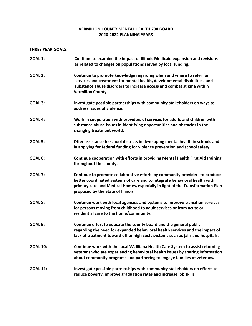#### **VERMILION COUNTY MENTAL HEALTH 708 BOARD 2020‐2022 PLANNING YEARS**

#### **THREE YEAR GOALS:**

| <b>GOAL 1:</b>  | Continue to examine the impact of Illinois Medicaid expansion and revisions<br>as related to changes on populations served by local funding.                                                                                                                                      |
|-----------------|-----------------------------------------------------------------------------------------------------------------------------------------------------------------------------------------------------------------------------------------------------------------------------------|
| <b>GOAL 2:</b>  | Continue to promote knowledge regarding when and where to refer for<br>services and treatment for mental health, developmental disabilities, and<br>substance abuse disorders to increase access and combat stigma within<br><b>Vermilion County.</b>                             |
| GOAL 3:         | Investigate possible partnerships with community stakeholders on ways to<br>address issues of violence.                                                                                                                                                                           |
| GOAL 4:         | Work in cooperation with providers of services for adults and children with<br>substance abuse issues in identifying opportunities and obstacles in the<br>changing treatment world.                                                                                              |
| <b>GOAL 5:</b>  | Offer assistance to school districts in developing mental health in schools and<br>in applying for federal funding for violence prevention and school safety.                                                                                                                     |
| GOAL 6:         | Continue cooperation with efforts in providing Mental Health First Aid training<br>throughout the county.                                                                                                                                                                         |
| <b>GOAL 7:</b>  | Continue to promote collaborative efforts by community providers to produce<br>better coordinated systems of care and to integrate behavioral health with<br>primary care and Medical Homes, especially in light of the Transformation Plan<br>proposed by the State of Illinois. |
| GOAL 8:         | Continue work with local agencies and systems to improve transition services<br>for persons moving from childhood to adult services or from acute or<br>residential care to the home/community.                                                                                   |
| GOAL 9:         | Continue effort to educate the county board and the general public<br>regarding the need for expanded behavioral health services and the impact of<br>lack of treatment toward other high costs systems such as jails and hospitals.                                              |
| <b>GOAL 10:</b> | Continue work with the local VA Illiana Health Care System to assist returning<br>veterans who are experiencing behavioral health issues by sharing information<br>about community programs and partnering to engage families of veterans.                                        |
| <b>GOAL 11:</b> | Investigate possible partnerships with community stakeholders on efforts to<br>reduce poverty, improve graduation rates and increase job skills                                                                                                                                   |